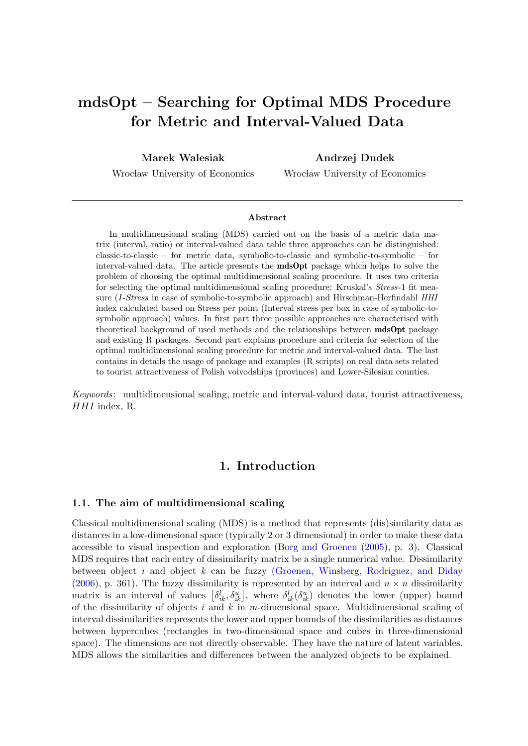# mdsOpt – Searching for Optimal MDS Procedure for Metric and Interval-Valued Data

Marek Walesiak

Andrzej Dudek

Wrocław University of Economics

Wrocław University of Economics

#### Abstract

In multidimensional scaling (MDS) carried out on the basis of a metric data matrix (interval, ratio) or interval-valued data table three approaches can be distinguished: classic-to-classic – for metric data, symbolic-to-classic and symbolic-to-symbolic – for interval-valued data. The article presents the mdsOpt package which helps to solve the problem of choosing the optimal multidimensional scaling procedure. It uses two criteria for selecting the optimal multidimensional scaling procedure: Kruskal's *Stress*-1 fit measure (I-Stress in case of symbolic-to-symbolic approach) and Hirschman-Herfindahl HHI index calculated based on Stress per point (Interval stress per box in case of symbolic-tosymbolic approach) values. In first part three possible approaches are characterised with theoretical background of used methods and the relationships between mdsOpt package and existing R packages. Second part explains procedure and criteria for selection of the optimal multidimensional scaling procedure for metric and interval-valued data. The last contains in details the usage of package and examples (R scripts) on real data sets related to tourist attractiveness of Polish voivodships (provinces) and Lower-Silesian counties.

Keywords: multidimensional scaling, metric and interval-valued data, tourist attractiveness, HHI index, R.

## 1. Introduction

#### 1.1. The aim of multidimensional scaling

Classical multidimensional scaling (MDS) is a method that represents (dis)similarity data as distances in a low-dimensional space (typically 2 or 3 dimensional) in order to make these data accessible to visual inspection and exploration [\(Borg and Groenen](#page-21-0) [\(2005\)](#page-21-0), p. 3). Classical MDS requires that each entry of dissimilarity matrix be a single numerical value. Dissimilarity between object i and object  $k$  can be fuzzy [\(Groenen, Winsberg, Rodriguez, and Diday](#page-22-0) [\(2006\)](#page-22-0), p. 361). The fuzzy dissimilarity is represented by an interval and  $n \times n$  dissimilarity matrix is an interval of values  $\left[\delta_{ik}^l, \delta_{ik}^u\right]$ , where  $\delta_{ik}^l(\delta_{ik}^u)$  denotes the lower (upper) bound of the dissimilarity of objects i and  $k$  in m-dimensional space. Multidimensional scaling of interval dissimilarities represents the lower and upper bounds of the dissimilarities as distances between hypercubes (rectangles in two-dimensional space and cubes in three-dimensional space). The dimensions are not directly observable. They have the nature of latent variables. MDS allows the similarities and differences between the analyzed objects to be explained.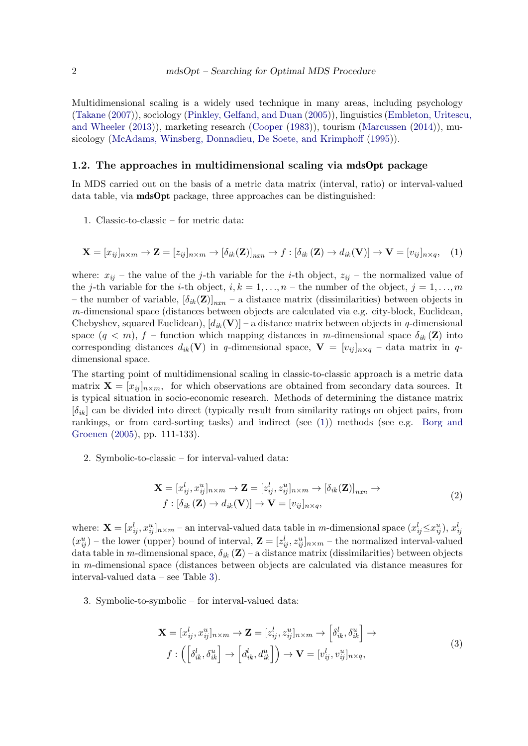Multidimensional scaling is a widely used technique in many areas, including psychology [\(Takane](#page-23-0) [\(2007\)](#page-23-0)), sociology [\(Pinkley, Gelfand, and Duan](#page-23-1) [\(2005\)](#page-23-1)), linguistics [\(Embleton, Uritescu](#page-22-1), [and Wheeler](#page-22-1) [\(2013\)](#page-22-1)), marketing research [\(Cooper](#page-22-2) [\(1983\)](#page-22-2)), tourism [\(Marcussen](#page-23-2) [\(2014\)](#page-23-2)), musicology [\(McAdams, Winsberg, Donnadieu, De Soete, and Krimphoff](#page-23-3) [\(1995\)](#page-23-3)).

#### 1.2. The approaches in multidimensional scaling via mdsOpt package

In MDS carried out on the basis of a metric data matrix (interval, ratio) or interval-valued data table, via mdsOpt package, three approaches can be distinguished:

<span id="page-1-0"></span>1. Classic-to-classic – for metric data:

$$
\mathbf{X} = [x_{ij}]_{n \times m} \to \mathbf{Z} = [z_{ij}]_{n \times m} \to [\delta_{ik}(\mathbf{Z})]_{n \times n} \to f : [\delta_{ik}(\mathbf{Z}) \to d_{ik}(\mathbf{V})] \to \mathbf{V} = [v_{ij}]_{n \times q}, \quad (1)
$$

where:  $x_{ij}$  – the value of the j-th variable for the *i*-th object,  $z_{ij}$  – the normalized value of the j-th variable for the *i*-th object,  $i, k = 1, ..., n$  – the number of the object,  $j = 1, ..., m$ – the number of variable,  $[\delta_{ik}(\mathbf{Z})]_{n,m}$  – a distance matrix (dissimilarities) between objects in m-dimensional space (distances between objects are calculated via e.g. city-block, Euclidean, Chebyshev, squared Euclidean),  $[d_{ik}(\mathbf{V})]$  – a distance matrix between objects in q-dimensional space  $(q < m)$ , f – function which mapping distances in m-dimensional space  $\delta_{ik}(\mathbf{Z})$  into corresponding distances  $d_{ik}(\mathbf{V})$  in q-dimensional space,  $\mathbf{V} = [v_{ij}]_{n \times q}$  – data matrix in qdimensional space.

The starting point of multidimensional scaling in classic-to-classic approach is a metric data matrix  $\mathbf{X} = [x_{ij}]_{n \times m}$ , for which observations are obtained from secondary data sources. It is typical situation in socio-economic research. Methods of determining the distance matrix  $[\delta_{ik}]$  can be divided into direct (typically result from similarity ratings on object pairs, from rankings, or from card-sorting tasks) and indirect (see [\(1\)](#page-1-0)) methods (see e.g. [Borg and](#page-21-0) [Groenen](#page-21-0) [\(2005\)](#page-21-0), pp. 111-133).

2. Symbolic-to-classic – for interval-valued data:

$$
\mathbf{X} = [x_{ij}^l, x_{ij}^u]_{n \times m} \to \mathbf{Z} = [z_{ij}^l, z_{ij}^u]_{n \times m} \to [\delta_{ik}(\mathbf{Z})]_{n x n} \to
$$
  

$$
f : [\delta_{ik}(\mathbf{Z}) \to d_{ik}(\mathbf{V})] \to \mathbf{V} = [v_{ij}]_{n \times q},
$$
 (2)

where:  $\mathbf{X} = [x_{ij}^l, x_{ij}^u]_{n \times m}$  – an interval-valued data table in m-dimensional space  $(x_{ij}^l \leq x_{ij}^u), x_{ij}^l$  $(x_{ij}^u)$  – the lower (upper) bound of interval,  $\mathbf{Z} = [z_{ij}^l, z_{ij}^u]_{n \times m}$  – the normalized interval-valued data table in m-dimensional space,  $\delta_{ik}(\mathbf{Z})$  – a distance matrix (dissimilarities) between objects in m-dimensional space (distances between objects are calculated via distance measures for interval-valued data – see Table [3\)](#page-6-0).

3. Symbolic-to-symbolic – for interval-valued data:

$$
\mathbf{X} = [x_{ij}^l, x_{ij}^u]_{n \times m} \rightarrow \mathbf{Z} = [z_{ij}^l, z_{ij}^u]_{n \times m} \rightarrow \left[\delta_{ik}^l, \delta_{ik}^u\right] \rightarrow
$$
  

$$
f: \left(\left[\delta_{ik}^l, \delta_{ik}^u\right] \rightarrow \left[d_{ik}^l, d_{ik}^u\right]\right) \rightarrow \mathbf{V} = [v_{ij}^l, v_{ij}^u]_{n \times q},
$$

$$
(3)
$$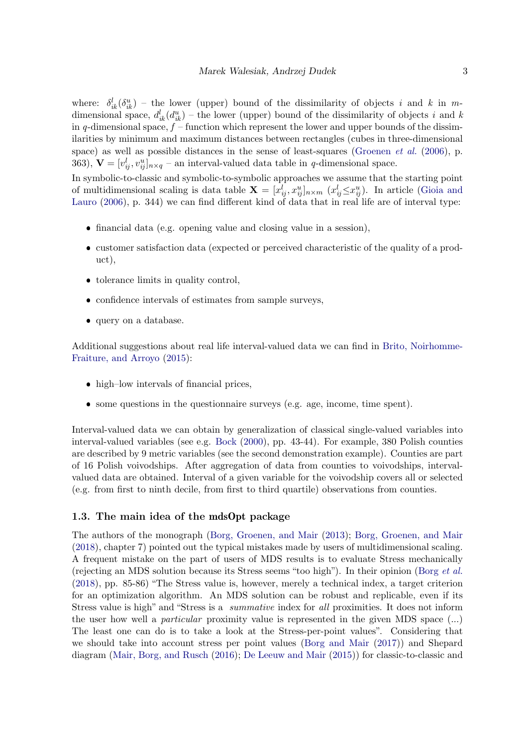where:  $\delta_{ik}^l(\delta_{ik}^u)$  – the lower (upper) bound of the dissimilarity of objects i and k in mdimensional space,  $d_{ik}^l(d_{ik}^u)$  – the lower (upper) bound of the dissimilarity of objects i and k in q-dimensional space,  $f$  – function which represent the lower and upper bounds of the dissimilarities by minimum and maximum distances between rectangles (cubes in three-dimensional space) as well as possible distances in the sense of least-squares [\(Groenen](#page-22-0) *et al.* [\(2006\)](#page-22-0), p. 363),  $\mathbf{V} = [v_{ij}^l, v_{ij}^u]_{n \times q}$  – an interval-valued data table in q-dimensional space.

In symbolic-to-classic and symbolic-to-symbolic approaches we assume that the starting point of multidimensional scaling is data table  $\mathbf{X} = [x_{ij}^l, x_{ij}^u]_{n \times m}$   $(x_{ij}^l \leq x_{ij}^u)$ . In article [\(Gioia and](#page-22-3) [Lauro](#page-22-3) [\(2006\)](#page-22-3), p. 344) we can find different kind of data that in real life are of interval type:

- financial data (e.g. opening value and closing value in a session),
- customer satisfaction data (expected or perceived characteristic of the quality of a product),
- tolerance limits in quality control,
- confidence intervals of estimates from sample surveys,
- query on a database.

Additional suggestions about real life interval-valued data we can find in [Brito, Noirhomme-](#page-22-4)[Fraiture, and Arroyo](#page-22-4) [\(2015\)](#page-22-4):

- high–low intervals of financial prices,
- some questions in the questionnaire surveys (e.g. age, income, time spent).

Interval-valued data we can obtain by generalization of classical single-valued variables into interval-valued variables (see e.g. [Bock](#page-21-1) [\(2000\)](#page-21-1), pp. 43-44). For example, 380 Polish counties are described by 9 metric variables (see the second demonstration example). Counties are part of 16 Polish voivodships. After aggregation of data from counties to voivodships, intervalvalued data are obtained. Interval of a given variable for the voivodship covers all or selected (e.g. from first to ninth decile, from first to third quartile) observations from counties.

#### 1.3. The main idea of the mdsOpt package

The authors of the monograph [\(Borg, Groenen, and Mair](#page-21-2) [\(2013\)](#page-21-2); [Borg, Groenen, and Mair](#page-21-3) [\(2018\)](#page-21-3), chapter 7) pointed out the typical mistakes made by users of multidimensional scaling. A frequent mistake on the part of users of MDS results is to evaluate Stress mechanically (rejecting an MDS solution because its Stress seems "too high"). In their opinion (Borg [et al.](#page-21-3) [\(2018\)](#page-21-3), pp. 85-86) "The Stress value is, however, merely a technical index, a target criterion for an optimization algorithm. An MDS solution can be robust and replicable, even if its Stress value is high" and "Stress is a summative index for all proximities. It does not inform the user how well a particular proximity value is represented in the given MDS space (...) The least one can do is to take a look at the Stress-per-point values". Considering that we should take into account stress per point values [\(Borg and Mair](#page-22-5) [\(2017\)](#page-22-5)) and Shepard diagram [\(Mair, Borg, and Rusch](#page-23-4) [\(2016\)](#page-23-4); [De Leeuw and Mair](#page-22-6) [\(2015\)](#page-22-6)) for classic-to-classic and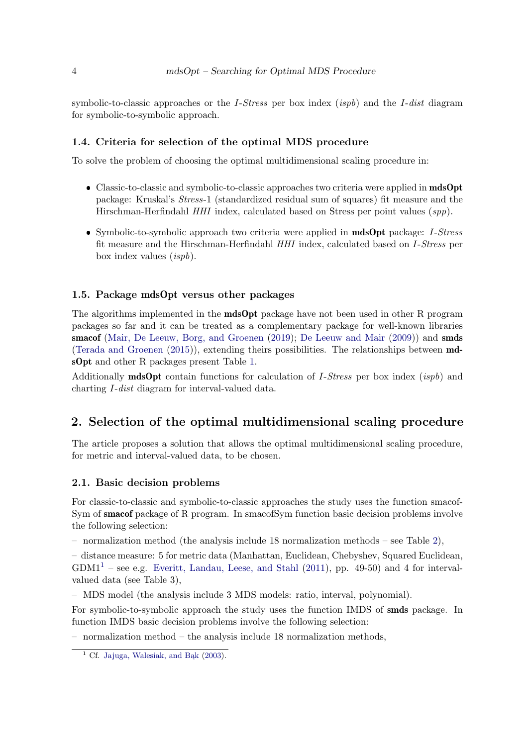symbolic-to-classic approaches or the *I-Stress* per box index *(ispb)* and the *I-dist* diagram for symbolic-to-symbolic approach.

## 1.4. Criteria for selection of the optimal MDS procedure

To solve the problem of choosing the optimal multidimensional scaling procedure in:

- Classic-to-classic and symbolic-to-classic approaches two criteria were applied in mdsOpt package: Kruskal's Stress-1 (standardized residual sum of squares) fit measure and the Hirschman-Herfindahl HHI index, calculated based on Stress per point values (spp).
- Symbolic-to-symbolic approach two criteria were applied in **mdsOpt** package: *I-Stress* fit measure and the Hirschman-Herfindahl HHI index, calculated based on I-Stress per box index values (ispb).

#### 1.5. Package mdsOpt versus other packages

The algorithms implemented in the **mdsOpt** package have not been used in other R program packages so far and it can be treated as a complementary package for well-known libraries smacof [\(Mair, De Leeuw, Borg, and Groenen](#page-23-5) [\(2019\)](#page-23-5); [De Leeuw and Mair](#page-22-7) [\(2009\)](#page-22-7)) and smds [\(Terada and Groenen](#page-23-6)  $(2015)$ ), extending theirs possibilities. The relationships between **md**sOpt and other R packages present Table [1.](#page-4-0)

Additionally **mdsOpt** contain functions for calculation of *I-Stress* per box index (*ispb*) and charting I-dist diagram for interval-valued data.

## 2. Selection of the optimal multidimensional scaling procedure

The article proposes a solution that allows the optimal multidimensional scaling procedure, for metric and interval-valued data, to be chosen.

#### 2.1. Basic decision problems

For classic-to-classic and symbolic-to-classic approaches the study uses the function smacof-Sym of smacof package of R program. In smacofSym function basic decision problems involve the following selection:

– normalization method (the analysis include 18 normalization methods – see Table [2\)](#page-5-0),

– distance measure: 5 for metric data (Manhattan, Euclidean, Chebyshev, Squared Euclidean,  $GDM1<sup>1</sup>$  $GDM1<sup>1</sup>$  $GDM1<sup>1</sup>$  – see e.g. [Everitt, Landau, Leese, and Stahl](#page-22-8) [\(2011\)](#page-22-8), pp. 49-50) and 4 for intervalvalued data (see Table 3),

– MDS model (the analysis include 3 MDS models: ratio, interval, polynomial).

For symbolic-to-symbolic approach the study uses the function IMDS of smds package. In function IMDS basic decision problems involve the following selection:

– normalization method – the analysis include 18 normalization methods,

<span id="page-3-0"></span><sup>&</sup>lt;sup>1</sup> Cf. [Jajuga, Walesiak, and B](#page-22-9)ąk  $(2003)$ .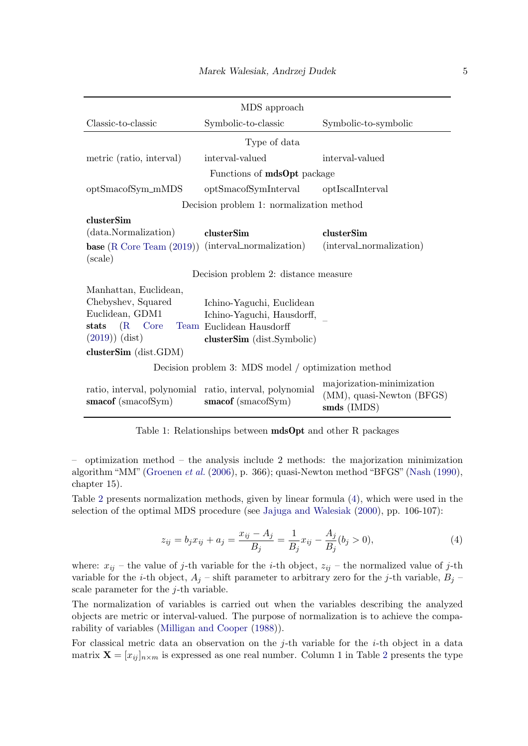| MDS approach                                                                  |                                          |                                                                       |  |  |  |
|-------------------------------------------------------------------------------|------------------------------------------|-----------------------------------------------------------------------|--|--|--|
| Classic-to-classic                                                            | Symbolic-to-classic                      | Symbolic-to-symbolic                                                  |  |  |  |
|                                                                               | Type of data                             |                                                                       |  |  |  |
| metric (ratio, interval)                                                      | interval-valued                          | interval-valued                                                       |  |  |  |
|                                                                               | Functions of mdsOpt package              |                                                                       |  |  |  |
| optSmacofSym_mMDS                                                             | optSmacofSymInterval                     | optIscalInterval                                                      |  |  |  |
|                                                                               | Decision problem 1: normalization method |                                                                       |  |  |  |
| clusterSim                                                                    |                                          |                                                                       |  |  |  |
| (data.Normalization)                                                          | clusterSim                               | clusterSim                                                            |  |  |  |
| <b>base</b> ( $R$ Core Team $(2019)$ ) (interval normalization)               |                                          | (interval_normalization)                                              |  |  |  |
| (scale)                                                                       |                                          |                                                                       |  |  |  |
|                                                                               | Decision problem 2: distance measure     |                                                                       |  |  |  |
| Manhattan, Euclidean,                                                         |                                          |                                                                       |  |  |  |
| Chebyshev, Squared                                                            | Ichino-Yaguchi, Euclidean                |                                                                       |  |  |  |
| Euclidean, GDM1                                                               | Ichino-Yaguchi, Hausdorff,               |                                                                       |  |  |  |
| (R)<br>Core<br>stats                                                          | Team Euclidean Hausdorff                 |                                                                       |  |  |  |
| $(2019))$ (dist)                                                              | clusterSim (dist.Symbolic)               |                                                                       |  |  |  |
| $clusterSim$ (dist. $GDM$ )                                                   |                                          |                                                                       |  |  |  |
| Decision problem 3: MDS model / optimization method                           |                                          |                                                                       |  |  |  |
| ratio, interval, polynomial ratio, interval, polynomial<br>smacof (smacofSym) | smacof (smacofSym)                       | majorization-minimization<br>(MM), quasi-Newton (BFGS)<br>smds (IMDS) |  |  |  |

<span id="page-4-0"></span>Table 1: Relationships between mdsOpt and other R packages

 $-$  optimization method  $-$  the analysis include 2 methods: the majorization minimization algorithm "MM" [\(Groenen](#page-22-0) et al. [\(2006\)](#page-22-0), p. 366); quasi-Newton method "BFGS" [\(Nash](#page-23-8) [\(1990\)](#page-23-8), chapter 15).

<span id="page-4-1"></span>Table [2](#page-5-0) presents normalization methods, given by linear formula [\(4\)](#page-4-1), which were used in the selection of the optimal MDS procedure (see [Jajuga and Walesiak](#page-22-10) [\(2000\)](#page-22-10), pp. 106-107):

$$
z_{ij} = b_j x_{ij} + a_j = \frac{x_{ij} - A_j}{B_j} = \frac{1}{B_j} x_{ij} - \frac{A_j}{B_j} (b_j > 0),
$$
\n(4)

where:  $x_{ij}$  – the value of j-th variable for the *i*-th object,  $z_{ij}$  – the normalized value of j-th variable for the *i*-th object,  $A_j$  – shift parameter to arbitrary zero for the *j*-th variable,  $B_j$  – scale parameter for the j-th variable.

The normalization of variables is carried out when the variables describing the analyzed objects are metric or interval-valued. The purpose of normalization is to achieve the comparability of variables [\(Milligan and Cooper](#page-23-9) [\(1988\)](#page-23-9)).

For classical metric data an observation on the  $j$ -th variable for the  $i$ -th object in a data matrix  $\mathbf{X} = [x_{ij}]_{n \times m}$  is expressed as one real number. Column 1 in Table [2](#page-5-0) presents the type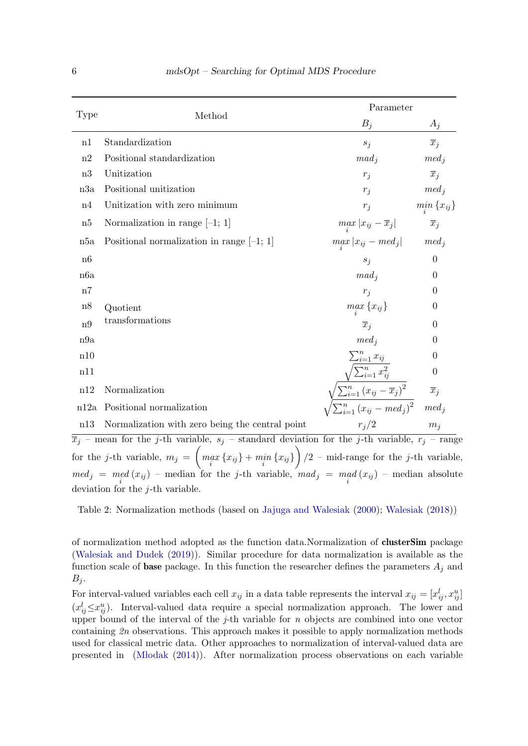|               |                                                                                                                       | Parameter                                                                                                                                                         |                     |  |
|---------------|-----------------------------------------------------------------------------------------------------------------------|-------------------------------------------------------------------------------------------------------------------------------------------------------------------|---------------------|--|
| <b>Type</b>   | Method                                                                                                                | $B_j$                                                                                                                                                             | $A_j$               |  |
| n1            | Standardization                                                                                                       | $s_i$                                                                                                                                                             | $\overline{x}_i$    |  |
| n2            | Positional standardization                                                                                            | $m a d_i$                                                                                                                                                         | $med_i$             |  |
| n3            | Unitization                                                                                                           | $r_i$                                                                                                                                                             | $\overline{x}_i$    |  |
| n3a           | Positional unitization                                                                                                | $r_i$                                                                                                                                                             | $med_j$             |  |
| n4            | Unitization with zero minimum                                                                                         | $r_j$                                                                                                                                                             | $min_i \{x_{ij}\}\$ |  |
| n5            | Normalization in range $[-1; 1]$                                                                                      | $\max\limits_i  x_{ij}-\overline{x}_j $                                                                                                                           | $\overline{x}_j$    |  |
| n5a           | Positional normalization in range $[-1; 1]$                                                                           | $max  x_{ij} - med_j $                                                                                                                                            | $med_j$             |  |
| n6            |                                                                                                                       | $s_i$                                                                                                                                                             | $\theta$            |  |
| n6a           |                                                                                                                       | $m a d_i$                                                                                                                                                         | $\overline{0}$      |  |
| n7            |                                                                                                                       | $r_i$                                                                                                                                                             | $\theta$            |  |
| n8            | Quotient                                                                                                              | $max_i \{x_{ij}\}\$                                                                                                                                               | $\boldsymbol{0}$    |  |
| $\mathrm{n}9$ | transformations                                                                                                       | $\overline{x}_i$                                                                                                                                                  | $\boldsymbol{0}$    |  |
| n9a           |                                                                                                                       | $med_i$                                                                                                                                                           | $\theta$            |  |
| n10           |                                                                                                                       | $\sum_{i=1}^n x_{ij}$                                                                                                                                             | $\theta$            |  |
| n11           |                                                                                                                       |                                                                                                                                                                   | $\boldsymbol{0}$    |  |
| n12           | Normalization                                                                                                         | $\frac{\sqrt{\sum_{i=1}^{n} x_{ij}^2}}{\sum_{i=1}^{n} (x_{ij} - \overline{x}_j)^2} \ \frac{\sum_{i=1}^{n} (x_{ij} - med_j)^2}{\sum_{i=1}^{n} (x_{ij} - med_j)^2}$ | $\overline{x}_j$    |  |
|               | n12a Positional normalization                                                                                         |                                                                                                                                                                   | $med_i$             |  |
| n13           | Normalization with zero being the central point<br>mean far the e th remable equation deviation for the eth remable a | $r_j/2$                                                                                                                                                           | $m_j$               |  |

 $\overline{x}_j$  – mean for the j-th variable,  $s_j$  – standard deviation for the j-th variable,  $r_j$  – range for the j-th variable,  $m_j = \left( \max_i \{ x_{ij} \} + \min_i \{ x_{ij} \} \right) / 2$  – mid-range for the j-th variable,  $med_j = med(x_{ij})$  – median for the j-th variable,  $mad_j = mad(x_{ij})$  – median absolute deviation for the *j*-th variable.

<span id="page-5-0"></span>Table 2: Normalization methods (based on [Jajuga and Walesiak](#page-22-10) [\(2000\)](#page-22-10); [Walesiak](#page-23-10) [\(2018\)](#page-23-10))

of normalization method adopted as the function data.Normalization of clusterSim package [\(Walesiak and Dudek](#page-23-11) [\(2019\)](#page-23-11)). Similar procedure for data normalization is available as the function scale of **base** package. In this function the researcher defines the parameters  $A_i$  and  $B_i$ .

For interval-valued variables each cell  $x_{ij}$  in a data table represents the interval  $x_{ij} = [x_{ij}^l, x_{ij}^u]$  $(x_{ij}^l \leq x_{ij}^u)$ . Interval-valued data require a special normalization approach. The lower and upper bound of the interval of the j-th variable for  $n$  objects are combined into one vector containing 2n observations. This approach makes it possible to apply normalization methods used for classical metric data. Other approaches to normalization of interval-valued data are presented in  $(M \cdot \text{Modak} (2014))$  $(M \cdot \text{Modak} (2014))$  $(M \cdot \text{Modak} (2014))$ . After normalization process observations on each variable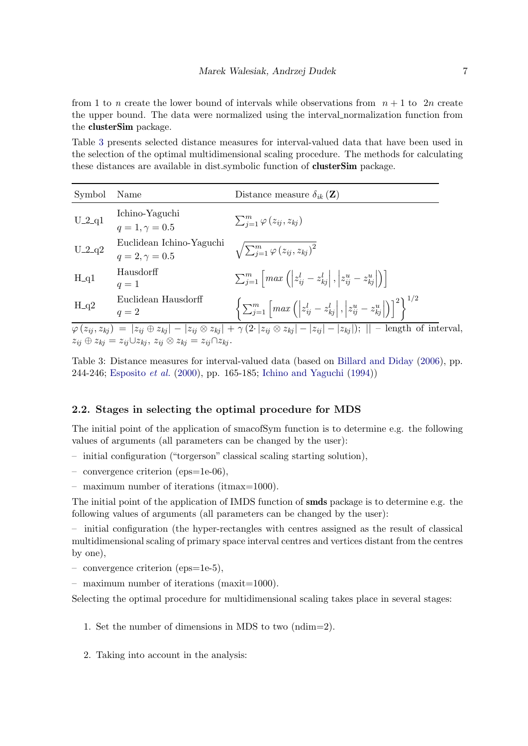from 1 to n create the lower bound of intervals while observations from  $n + 1$  to  $2n$  create the upper bound. The data were normalized using the interval normalization function from the clusterSim package.

Table [3](#page-6-0) presents selected distance measures for interval-valued data that have been used in the selection of the optimal multidimensional scaling procedure. The methods for calculating these distances are available in dist.symbolic function of clusterSim package.

| Symbol            | Name                                              | Distance measure $\delta_{ik}(\mathbf{Z})$                                                                                                                                                                                                                                                                                                                                                                                                                                                                                                          |
|-------------------|---------------------------------------------------|-----------------------------------------------------------------------------------------------------------------------------------------------------------------------------------------------------------------------------------------------------------------------------------------------------------------------------------------------------------------------------------------------------------------------------------------------------------------------------------------------------------------------------------------------------|
| $U_2_{q1}$        | Ichino-Yaguchi<br>$q = 1, \gamma = 0.5$           | $\sum_{i=1}^m \varphi(z_{ij}, z_{ki})$                                                                                                                                                                                                                                                                                                                                                                                                                                                                                                              |
| $U\_2\_q2$        | Euclidean Ichino-Yaguchi<br>$q = 2, \gamma = 0.5$ | $\sqrt{\sum_{i=1}^m \varphi(z_{ij},z_{ki})^2}$                                                                                                                                                                                                                                                                                                                                                                                                                                                                                                      |
| $H_q1$            | Hausdorff<br>$q=1$                                | $\sum_{j=1}^m \left  max \left( \left  z_{ij}^l - z_{ki}^l \right , \left  z_{ij}^u - z_{ki}^u \right  \right) \right $                                                                                                                                                                                                                                                                                                                                                                                                                             |
| $H_q2$            | Euclidean Hausdorff<br>$q=2$                      | $\left\{\sum_{j=1}^m\left[\max\left(\left z_{ij}^l-z_{kj}^l\right ,\left z_{ij}^u-z_{kj}^u\right \right)\right]^2\right\}^{1/2}$                                                                                                                                                                                                                                                                                                                                                                                                                    |
| المتعارض المتعاري | المحالك الملا                                     | $\left\lfloor \frac{1}{2} \cos \theta \right\rfloor + \left\lfloor \frac{1}{2} \cos \theta \right\rfloor + \left\lfloor \frac{1}{2} \cos \theta \right\rfloor + \left\lfloor \frac{1}{2} \cos \theta \right\rfloor + \left\lfloor \frac{1}{2} \cos \theta \right\rfloor + \left\lfloor \frac{1}{2} \cos \theta \right\rfloor + \left\lfloor \frac{1}{2} \cos \theta \right\rfloor + \left\lfloor \frac{1}{2} \cos \theta \right\rfloor + \left\lfloor \frac{1}{2} \cos \theta \right\rfloor + \left\lfloor \frac{1}{2} \cos \theta \right\rfloor +$ |

 $\varphi(z_{ij}, z_{kj}) = |z_{ij} \oplus z_{kj}| - |z_{ij} \otimes z_{kj}| + \gamma (2 \cdot |z_{ij} \otimes z_{kj}| - |z_{ij}| - |z_{kj}|); ||$  – length of interval,  $z_{ij} \oplus z_{kj} = z_{ij} \cup z_{kj}, z_{ij} \otimes z_{kj} = z_{ij} \cap z_{kj}.$ 

<span id="page-6-0"></span>Table 3: Distance measures for interval-valued data (based on [Billard and Diday](#page-21-4) [\(2006\)](#page-21-4), pp. 244-246; [Esposito](#page-22-11) et al. [\(2000\)](#page-22-11), pp. 165-185; [Ichino and Yaguchi](#page-22-12) [\(1994\)](#page-22-12))

#### 2.2. Stages in selecting the optimal procedure for MDS

The initial point of the application of smacofSym function is to determine e.g. the following values of arguments (all parameters can be changed by the user):

- initial configuration ("torgerson" classical scaling starting solution),
- $\sim$  convergence criterion (eps=1e-06).
- maximum number of iterations (itmax=1000).

The initial point of the application of IMDS function of **smds** package is to determine e.g. the following values of arguments (all parameters can be changed by the user):

– initial configuration (the hyper-rectangles with centres assigned as the result of classical multidimensional scaling of primary space interval centres and vertices distant from the centres by one),

- convergence criterion (eps=1e-5),
- maximum number of iterations (maxit=1000).

Selecting the optimal procedure for multidimensional scaling takes place in several stages:

- 1. Set the number of dimensions in MDS to two (ndim=2).
- 2. Taking into account in the analysis: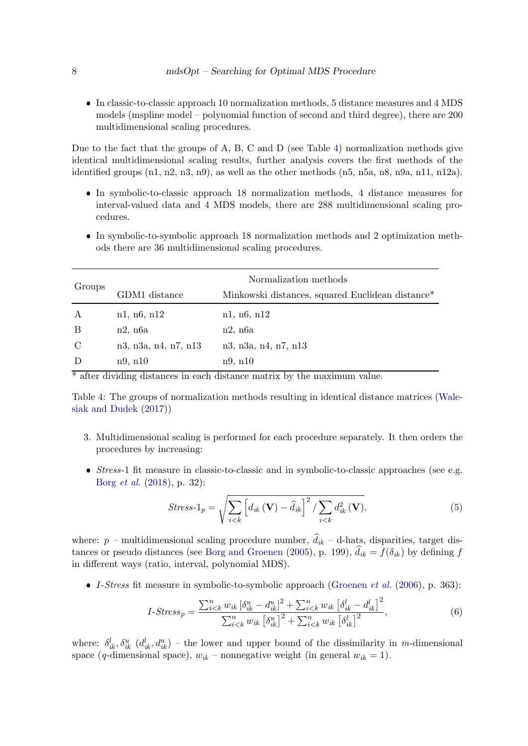In classic-to-classic approach 10 normalization methods, 5 distance measures and 4 MDS models (mspline model – polynomial function of second and third degree), there are 200 multidimensional scaling procedures.

Due to the fact that the groups of A, B, C and D (see Table [4\)](#page-7-0) normalization methods give identical multidimensional scaling results, further analysis covers the first methods of the identified groups  $(n1, n2, n3, n9)$ , as well as the other methods  $(n5, n5a, n8, n9a, n11, n12a)$ .

- In symbolic-to-classic approach 18 normalization methods, 4 distance measures for interval-valued data and 4 MDS models, there are 288 multidimensional scaling procedures.
- In symbolic-to-symbolic approach 18 normalization methods and 2 optimization methods there are 36 multidimensional scaling procedures.

| Groups        | Normalization methods |                                                  |  |  |
|---------------|-----------------------|--------------------------------------------------|--|--|
|               | GDM1 distance         | Minkowski distances, squared Euclidean distance* |  |  |
| A             | n1, n6, n12           | n1, n6, n12                                      |  |  |
| B             | $n2$ , $n6a$          | $n2$ , $n6a$                                     |  |  |
| $\mathcal{C}$ | n3, n3a, n4, n7, n13  | n3, n3a, n4, n7, n13                             |  |  |
| D             | $n9$ , $n10$          | $n9$ , $n10$                                     |  |  |

\* after dividing distances in each distance matrix by the maximum value.

<span id="page-7-0"></span>Table 4: The groups of normalization methods resulting in identical distance matrices [\(Wale](#page-23-13)[siak and Dudek](#page-23-13) [\(2017\)](#page-23-13))

- 3. Multidimensional scaling is performed for each procedure separately. It then orders the procedures by increasing:
- Stress-1 fit measure in classic-to-classic and in symbolic-to-classic approaches (see e.g. Borg [et al.](#page-21-3) [\(2018\)](#page-21-3), p. 32):

$$
Stress-1_{p} = \sqrt{\sum_{i < k} \left[ d_{ik} \left( \mathbf{V} \right) - \hat{d}_{ik} \right]^2 / \sum_{i < k} d_{ik}^2 \left( \mathbf{V} \right)},\tag{5}
$$

where:  $p$  – multidimensional scaling procedure number,  $d_{ik}$  – d-hats, disparities, target dis-tances or pseudo distances (see [Borg and Groenen](#page-21-0) [\(2005\)](#page-21-0), p. 199),  $d_{ik} = f(\delta_{ik})$  by defining f in different ways (ratio, interval, polynomial MDS).

I-Stress fit measure in symbolic-to-symbolic approach [\(Groenen](#page-22-0) et al.  $(2006)$ , p. 363):

$$
I\text{-Stress}_{p} = \frac{\sum_{i
$$

where:  $\delta_{ik}^l$ ,  $\delta_{ik}^u$  ( $d_{ik}^l$ ,  $d_{ik}^u$ ) – the lower and upper bound of the dissimilarity in m-dimensional space (q-dimensional space),  $w_{ik}$  – nonnegative weight (in general  $w_{ik} = 1$ ).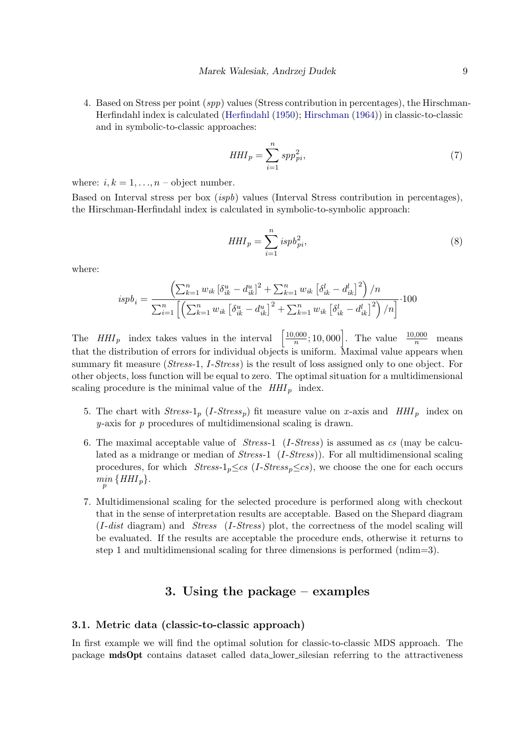4. Based on Stress per point (spp) values (Stress contribution in percentages), the Hirschman-Herfindahl index is calculated [\(Herfindahl](#page-22-13) [\(1950\)](#page-22-13); [Hirschman](#page-22-14) [\(1964\)](#page-22-14)) in classic-to-classic and in symbolic-to-classic approaches:

$$
HHI_p = \sum_{i=1}^{n} spp_{pi}^2,\tag{7}
$$

where:  $i, k = 1, \ldots, n$  – object number.

Based on Interval stress per box (ispb) values (Interval Stress contribution in percentages), the Hirschman-Herfindahl index is calculated in symbolic-to-symbolic approach:

$$
HHI_p = \sum_{i=1}^{n} ispb_{pi}^2,
$$
\n(8)

where:

$$
ispb_i = \frac{\left(\sum_{k=1}^n w_{ik} \left[\delta_{ik}^u - d_{ik}^u\right]^2 + \sum_{k=1}^n w_{ik} \left[\delta_{ik}^l - d_{ik}^l\right]^2\right) / n}{\sum_{i=1}^n \left[\left(\sum_{k=1}^n w_{ik} \left[\delta_{ik}^u - d_{ik}^u\right]^2 + \sum_{k=1}^n w_{ik} \left[\delta_{ik}^l - d_{ik}^l\right]^2\right) / n\right]} \cdot 100
$$

The  $HHI_p$  index takes values in the interval  $\left[\frac{10,000}{n}\right]$  $\left(\frac{0.000}{n}\right)$ ; 10,000 The value  $\frac{10,000}{n}$  means that the distribution of errors for individual objects is uniform. Maximal value appears when summary fit measure (*Stress-1, I-Stress*) is the result of loss assigned only to one object. For other objects, loss function will be equal to zero. The optimal situation for a multidimensional scaling procedure is the minimal value of the  $HHI_p$  index.

- 5. The chart with  $Stress-1_p$  (*I-Stress<sub>p</sub>*) fit measure value on x-axis and  $HHI_p$  index on  $y$ -axis for  $p$  procedures of multidimensional scaling is drawn.
- 6. The maximal acceptable value of  $Stress-1$  (*I-Stress*) is assumed as cs (may be calculated as a midrange or median of Stress-1 (I-Stress)). For all multidimensional scaling procedures, for which  $Stress-1<sub>p</sub> \leq cs$  (*I-Stress<sub>p</sub>* $\leq cs$ ), we choose the one for each occurs  $\min_{p} \{HHI_p\}.$
- 7. Multidimensional scaling for the selected procedure is performed along with checkout that in the sense of interpretation results are acceptable. Based on the Shepard diagram  $(I$ -dist diagram) and *Stress*  $(I$ -*Stress*) plot, the correctness of the model scaling will be evaluated. If the results are acceptable the procedure ends, otherwise it returns to step 1 and multidimensional scaling for three dimensions is performed (ndim=3).

## 3. Using the package – examples

### 3.1. Metric data (classic-to-classic approach)

In first example we will find the optimal solution for classic-to-classic MDS approach. The package mdsOpt contains dataset called data lower silesian referring to the attractiveness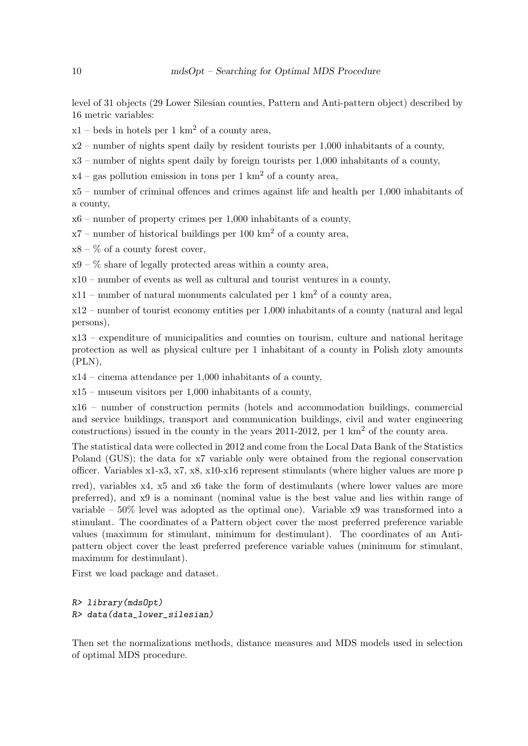level of 31 objects (29 Lower Silesian counties, Pattern and Anti-pattern object) described by 16 metric variables:

 $x1 - beds$  in hotels per 1 km<sup>2</sup> of a county area,

 $x2$  – number of nights spent daily by resident tourists per 1,000 inhabitants of a county,

x3 – number of nights spent daily by foreign tourists per 1,000 inhabitants of a county,

 $x4 - gas$  pollution emission in tons per 1 km<sup>2</sup> of a county area,

x5 – number of criminal offences and crimes against life and health per 1,000 inhabitants of a county,

x6 – number of property crimes per 1,000 inhabitants of a county,

 $x7$  – number of historical buildings per 100 km<sup>2</sup> of a county area,

 $x8 - \%$  of a county forest cover,

 $x9 - \%$  share of legally protected areas within a county area,

x10 – number of events as well as cultural and tourist ventures in a county,

 $x11$  – number of natural monuments calculated per 1 km<sup>2</sup> of a county area,

x12 – number of tourist economy entities per 1,000 inhabitants of a county (natural and legal persons),

x13 – expenditure of municipalities and counties on tourism, culture and national heritage protection as well as physical culture per 1 inhabitant of a county in Polish zloty amounts (PLN),

x14 – cinema attendance per 1,000 inhabitants of a county,

x15 – museum visitors per 1,000 inhabitants of a county,

x16 – number of construction permits (hotels and accommodation buildings, commercial and service buildings, transport and communication buildings, civil and water engineering constructions) issued in the county in the years 2011-2012, per 1  $km<sup>2</sup>$  of the county area.

The statistical data were collected in 2012 and come from the Local Data Bank of the Statistics Poland (GUS); the data for x7 variable only were obtained from the regional conservation officer. Variables  $x1-x3$ ,  $x7$ ,  $x8$ ,  $x10-x16$  represent stimulants (where higher values are more p

rred), variables x4, x5 and x6 take the form of destimulants (where lower values are more preferred), and x9 is a nominant (nominal value is the best value and lies within range of variable – 50% level was adopted as the optimal one). Variable x9 was transformed into a stimulant. The coordinates of a Pattern object cover the most preferred preference variable values (maximum for stimulant, minimum for destimulant). The coordinates of an Antipattern object cover the least preferred preference variable values (minimum for stimulant, maximum for destimulant).

First we load package and dataset.

```
R> library(mdsOpt)
R> data(data_lower_silesian)
```
Then set the normalizations methods, distance measures and MDS models used in selection of optimal MDS procedure.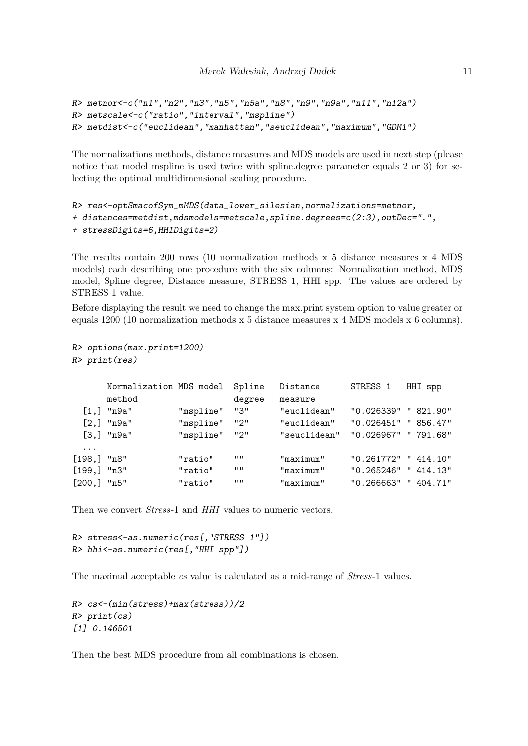```
R> metnor<-c("n1","n2","n3","n5","n5a","n8","n9","n9a","n11","n12a")
R> metscale<-c("ratio","interval","mspline")
R> metdist<-c("euclidean","manhattan","seuclidean","maximum","GDM1")
```
The normalizations methods, distance measures and MDS models are used in next step (please notice that model mspline is used twice with spline.degree parameter equals 2 or 3) for selecting the optimal multidimensional scaling procedure.

```
R> res<-optSmacofSym_mMDS(data_lower_silesian,normalizations=metnor,
+ distances=metdist,mdsmodels=metscale,spline.degrees=c(2:3),outDec=".",
+ stressDigits=6,HHIDigits=2)
```
The results contain 200 rows (10 normalization methods x 5 distance measures x 4 MDS models) each describing one procedure with the six columns: Normalization method, MDS model, Spline degree, Distance measure, STRESS 1, HHI spp. The values are ordered by STRESS 1 value.

Before displaying the result we need to change the max.print system option to value greater or equals 1200 (10 normalization methods x 5 distance measures x 4 MDS models x 6 columns).

```
R> options(max.print=1200)
R> print(res)
```

|               | Normalization MDS model |           | Spline | Distance     | <b>STRESS</b>        |    | HHI spp    |
|---------------|-------------------------|-----------|--------|--------------|----------------------|----|------------|
|               | method                  |           | degree | measure      |                      |    |            |
|               | $[1,]$ "n9a"            | "mspline" | "3"    | "euclidean"  | "0.026339" " 821.90" |    |            |
|               | $[2,]$ "n9a"            | "mspline" | "2"    | "euclidean"  | "0.026451" " 856.47" |    |            |
|               | $[3,]$ "n9a"            | "mspline" | "2"    | "seuclidean" | "0.026967" " 791.68" |    |            |
| $\cdots$      |                         |           |        |              |                      |    |            |
| $[198,]$ "n8" |                         | "ratio"   | 11 H   | "maximum"    | "0.261772" " 414.10" |    |            |
| $[199,]$ "n3" |                         | "ratio"   | 11 H   | "maximum"    | "0.265246" " 414.13" |    |            |
| $[200,]$ "n5" |                         | "ratio"   | 11 H   | "maximum"    | "0.266663"           | H. | $404.71$ " |

Then we convert *Stress*-1 and *HHI* values to numeric vectors.

```
R> stress<-as.numeric(res[,"STRESS 1"])
R> hhi<-as.numeric(res[,"HHI spp"])
```
The maximal acceptable cs value is calculated as a mid-range of *Stress*-1 values.

```
R> cs<-(min(stress)+max(stress))/2
R> print(cs)
[1] 0.146501
```
Then the best MDS procedure from all combinations is chosen.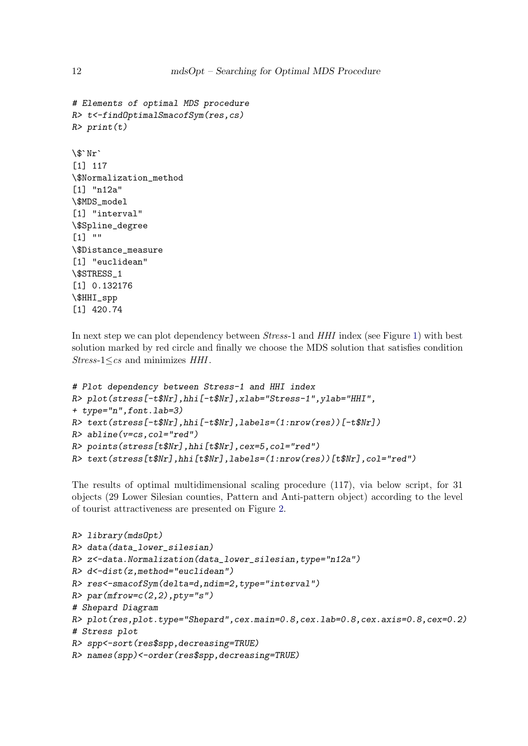```
# Elements of optimal MDS procedure
R> t<-findOptimalSmacofSym(res,cs)
R> print(t)
n> t<=<br>R> pri<br>\$`Nr`
[1] 117
\$Normalization_method
[1] "n12a"
\$MDS_model
[1] "interval"
\$Spline_degree
[1] ""
\$Distance_measure
[1] "euclidean"
\$STRESS_1
[1] 0.132176
\$HHI_spp
[1] 420.74
```
In next step we can plot dependency between *Stress*-1 and *HHI* index (see Figure [1\)](#page-12-0) with best solution marked by red circle and finally we choose the MDS solution that satisfies condition  $Stress-1 \leq cs$  and minimizes HHI.

```
# Plot dependency between Stress-1 and HHI index
R> plot(stress[-t$Nr],hhi[-t$Nr],xlab="Stress-1",ylab="HHI",
+ type="n",font.lab=3)
R> text(stress[-t$Nr],hhi[-t$Nr],labels=(1:nrow(res))[-t$Nr])
R> abline(v=cs,col="red")
R> points(stress[t$Nr],hhi[t$Nr],cex=5,col="red")
R> text(stress[t$Nr],hhi[t$Nr],labels=(1:nrow(res))[t$Nr],col="red")
```
The results of optimal multidimensional scaling procedure (117), via below script, for 31 objects (29 Lower Silesian counties, Pattern and Anti-pattern object) according to the level of tourist attractiveness are presented on Figure [2.](#page-13-0)

```
R> library(mdsOpt)
R> data(data_lower_silesian)
R> z<-data.Normalization(data_lower_silesian,type="n12a")
R> d < dist(z, method="euclidean")R> res<-smacofSym(delta=d,ndim=2,type="interval")
R> par(mfrow=c(2,2), pty="s")
# Shepard Diagram
R> plot(res, plot. type="Shepared", cex.mainloop2, cex.lab=0.8, cex.lab=0.8, cex.axis=0.8, cex=0.2)# Stress plot
R> spp<-sort(res$spp,decreasing=TRUE)
R> names(spp)<-order(res$spp,decreasing=TRUE)
```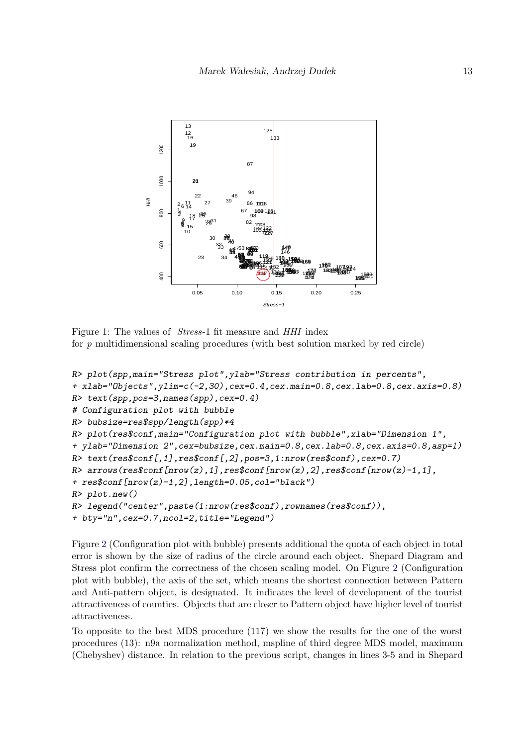

<span id="page-12-0"></span>Figure 1: The values of Stress-1 fit measure and HHI index for  $p$  multidimensional scaling procedures (with best solution marked by red circle)

```
R> plot(spp,main="Stress plot",ylab="Stress contribution in percents",
+ xlab="Objects",ylim=c(-2,30),cex=0.4,cex.main=0.8,cex.lab=0.8,cex.axis=0.8)
R> text(spp,pos=3,names(spp),cex=0.4)
# Configuration plot with bubble
R> bubsize=res$spp/length(spp)*4
R> plot(res$conf,main="Configuration plot with bubble",xlab="Dimension 1",
+ ylab="Dimension 2",cex=bubsize,cex.main=0.8,cex.lab=0.8,cex.axis=0.8,asp=1)
R> text(res$conf[,1],res$conf[,2],pos=3,1:nrow(res$conf),cex=0.7)
R> arrows(res$conf[nrow(z),1],res$conf[nrow(z),2],res$conf[nrow(z)-1,1],
+ res$conf[nrow(z)-1,2],length=0.05,col="black")
R> plot.new()
R> legend("center",paste(1:nrow(res$conf),rownames(res$conf)),
+ bty="n",cex=0.7,ncol=2,title="Legend")
```
Figure [2](#page-13-0) (Configuration plot with bubble) presents additional the quota of each object in total error is shown by the size of radius of the circle around each object. Shepard Diagram and Stress plot confirm the correctness of the chosen scaling model. On Figure [2](#page-13-0) (Configuration plot with bubble), the axis of the set, which means the shortest connection between Pattern and Anti-pattern object, is designated. It indicates the level of development of the tourist attractiveness of counties. Objects that are closer to Pattern object have higher level of tourist attractiveness.

To opposite to the best MDS procedure (117) we show the results for the one of the worst procedures (13): n9a normalization method, mspline of third degree MDS model, maximum (Chebyshev) distance. In relation to the previous script, changes in lines 3-5 and in Shepard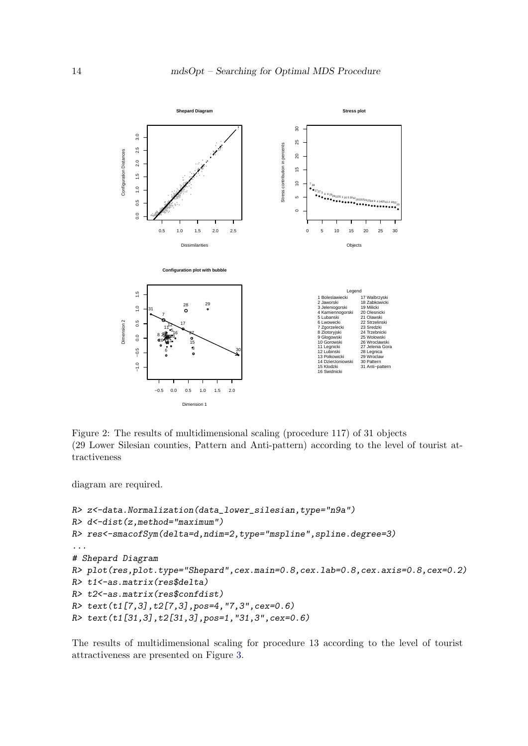

<span id="page-13-0"></span>Figure 2: The results of multidimensional scaling (procedure 117) of 31 objects (29 Lower Silesian counties, Pattern and Anti-pattern) according to the level of tourist attractiveness

diagram are required.

```
R> z<-data.Normalization(data_lower_silesian,type="n9a")
R > d < -dist (z, method="maximum")
R> res<-smacofSym(delta=d,ndim=2,type="mspline",spline.degree=3)
...
# Shepard Diagram
R> plot(res,plot.type="Shepard",cex.main=0.8,cex.lab=0.8,cex.axis=0.8,cex=0.2)
R> t1<-as.matrix(res$delta)
R> t2<-as.matrix(res$confdist)
R> text(t1[7,3],t2[7,3],pos=4,"7,3",cex=0.6)
R> text(t1[31,3],t2[31,3],pos=1,"31,3",cex=0.6)
```
The results of multidimensional scaling for procedure 13 according to the level of tourist attractiveness are presented on Figure [3.](#page-14-0)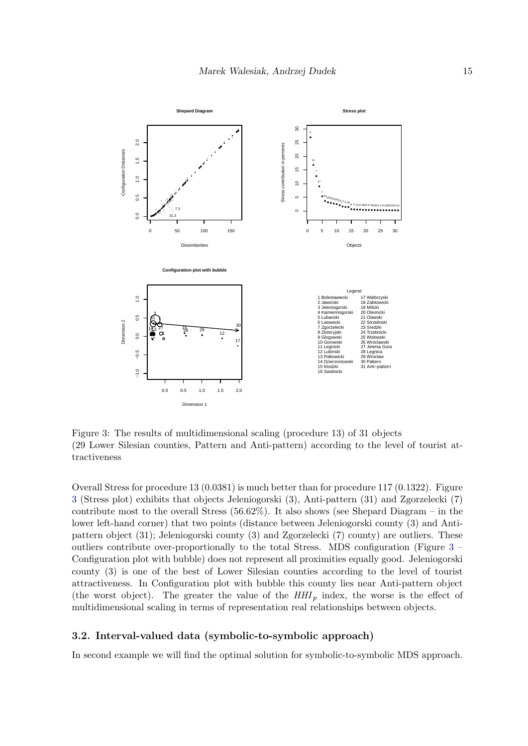

<span id="page-14-0"></span>Figure 3: The results of multidimensional scaling (procedure 13) of 31 objects (29 Lower Silesian counties, Pattern and Anti-pattern) according to the level of tourist attractiveness

Overall Stress for procedure 13 (0.0381) is much better than for procedure 117 (0.1322). Figure [3](#page-14-0) (Stress plot) exhibits that objects Jeleniogorski (3), Anti-pattern (31) and Zgorzelecki (7) contribute most to the overall Stress  $(56.62\%)$ . It also shows (see Shepard Diagram – in the lower left-hand corner) that two points (distance between Jeleniogorski county (3) and Antipattern object (31); Jeleniogorski county (3) and Zgorzelecki (7) county) are outliers. These outliers contribute over-proportionally to the total Stress. MDS configuration (Figure [3](#page-14-0) – Configuration plot with bubble) does not represent all proximities equally good. Jeleniogorski county (3) is one of the best of Lower Silesian counties according to the level of tourist attractiveness. In Configuration plot with bubble this county lies near Anti-pattern object (the worst object). The greater the value of the  $HHI_p$  index, the worse is the effect of multidimensional scaling in terms of representation real relationships between objects.

#### 3.2. Interval-valued data (symbolic-to-symbolic approach)

In second example we will find the optimal solution for symbolic-to-symbolic MDS approach.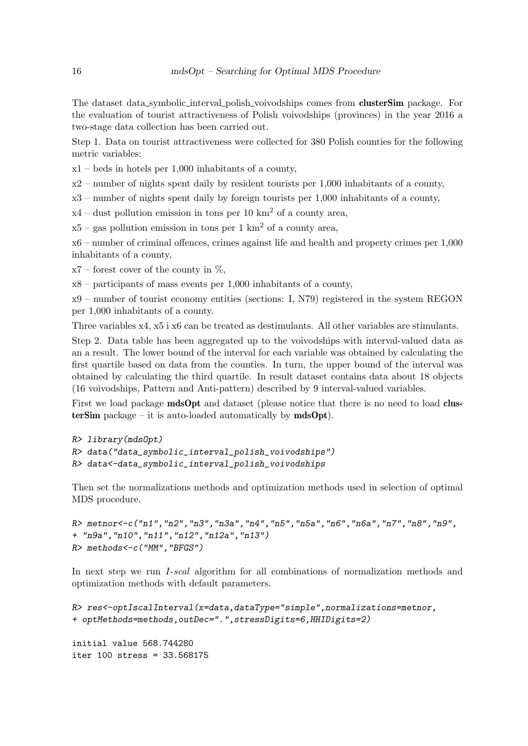The dataset data\_symbolic\_interval\_polish\_voivodships comes from **clusterSim** package. For the evaluation of tourist attractiveness of Polish voivodships (provinces) in the year 2016 a two-stage data collection has been carried out.

Step 1. Data on tourist attractiveness were collected for 380 Polish counties for the following metric variables:

 $x1 - \text{beds}$  in hotels per 1,000 inhabitants of a county,

x2 – number of nights spent daily by resident tourists per 1,000 inhabitants of a county,

- x3 number of nights spent daily by foreign tourists per 1,000 inhabitants of a county,
- $x4$  dust pollution emission in tons per 10 km<sup>2</sup> of a county area,
- $x5$  gas pollution emission in tons per 1 km<sup>2</sup> of a county area,

x6 – number of criminal offences, crimes against life and health and property crimes per 1,000 inhabitants of a county,

 $x7$  – forest cover of the county in  $\%$ .

x8 – participants of mass events per 1,000 inhabitants of a county,

x9 – number of tourist economy entities (sections: I, N79) registered in the system REGON per 1,000 inhabitants of a county.

Three variables x4, x5 i x6 can be treated as destimulants. All other variables are stimulants.

Step 2. Data table has been aggregated up to the voivodships with interval-valued data as an a result. The lower bound of the interval for each variable was obtained by calculating the first quartile based on data from the counties. In turn, the upper bound of the interval was obtained by calculating the third quartile. In result dataset contains data about 18 objects (16 voivodships, Pattern and Anti-pattern) described by 9 interval-valued variables.

First we load package **mdsOpt** and dataset (please notice that there is no need to load **clus**terSim package – it is auto-loaded automatically by  $mdsOpt$ .

```
R> library(mdsOpt)
R> data("data_symbolic_interval_polish_voivodships")
R> data<-data_symbolic_interval_polish_voivodships
```
Then set the normalizations methods and optimization methods used in selection of optimal MDS procedure.

```
R> metnor<-c("n1","n2","n3","n3a","n4","n5","n5a","n6","n6a","n7","n8","n9",
+ "n9a","n10","n11","n12","n12a","n13")
R> methods<-c("MM","BFGS")
```
In next step we run I-scal algorithm for all combinations of normalization methods and optimization methods with default parameters.

```
R> res<-optIscalInterval(x=data,dataType="simple",normalizations=metnor,
+ optMethods=methods,outDec=".",stressDigits=6,HHIDigits=2)
```
initial value 568.744280 iter 100 stress = 33.568175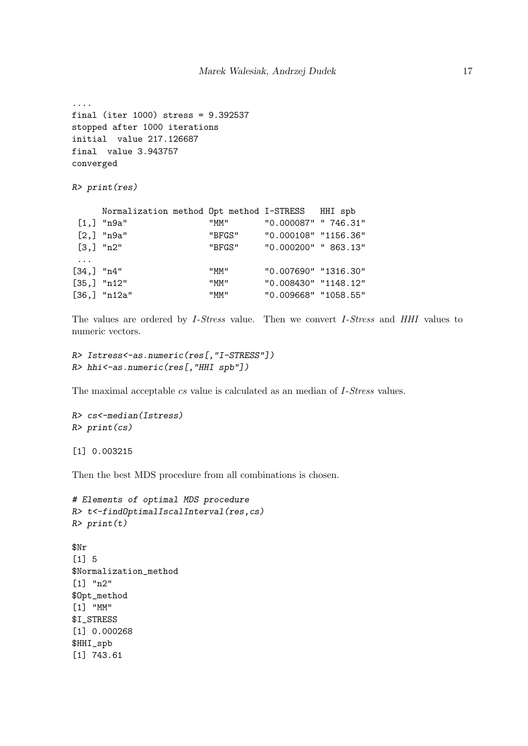```
....
final (iter 1000) stress = 9.392537
stopped after 1000 iterations
initial value 217.126687
final value 3.943757
converged
```
R> print(res)

|              | Normalization method Opt method I-STRESS HHI spb |        |                      |  |
|--------------|--------------------------------------------------|--------|----------------------|--|
|              | $[1,]$ "n9a"                                     | "MM"   | "0.000087" " 746.31" |  |
|              | $[2,]$ "n9a"                                     | "BFGS" | "0.000108" "1156.36" |  |
|              | $[3,]$ "n2"                                      | "BFGS" | "0.000200" " 863.13" |  |
| $\cdots$     |                                                  |        |                      |  |
| $[34,]$ "n4" |                                                  | "MM"   | "0.007690" "1316.30" |  |
|              | $[35,]$ "n12"                                    | "MM"   | "0.008430" "1148.12" |  |
|              | $[36,]$ "n12a"                                   | "MM"   | "0.009668" "1058.55" |  |

The values are ordered by I-Stress value. Then we convert I-Stress and HHI values to numeric vectors.

```
R> Istress<-as.numeric(res[,"I-STRESS"])
R> hhi<-as.numeric(res[,"HHI spb"])
```
The maximal acceptable *cs* value is calculated as an median of *I-Stress* values.

```
R> cs<-median(Istress)
R> print(cs)
```
[1] 0.003215

Then the best MDS procedure from all combinations is chosen.

```
# Elements of optimal MDS procedure
R> t<-findOptimalIscalInterval(res,cs)
R> print(t)$Nr
[1] 5
$Normalization_method
[1] "n2"
$Opt_method
[1] "MM"
$I_STRESS
[1] 0.000268
$HHI_spb
[1] 743.61
```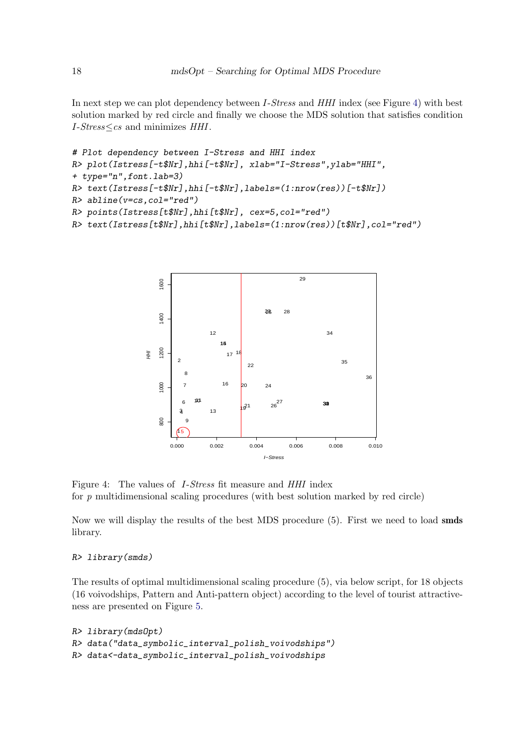In next step we can plot dependency between *I-Stress* and *HHI* index (see Figure [4\)](#page-17-0) with best solution marked by red circle and finally we choose the MDS solution that satisfies condition  $I\text{-}Stress \leq cs$  and minimizes  $HHI$ .

```
# Plot dependency between I-Stress and HHI index
R> plot(Istress[-t$Nr],hhi[-t$Nr], xlab="I-Stress",ylab="HHI",
+ type="n",font.lab=3)
R> text(Istress[-t$Nr],hhi[-t$Nr],labels=(1:nrow(res))[-t$Nr])
R> abline(v=cs,col="red")
R> points(Istress[t$Nr],hhi[t$Nr], cex=5,col="red")
R> text(Istress[t$Nr],hhi[t$Nr],labels=(1:nrow(res))[t$Nr],col="red")
```


<span id="page-17-0"></span>Figure 4: The values of *I-Stress* fit measure and *HHI* index for  $p$  multidimensional scaling procedures (with best solution marked by red circle)

Now we will display the results of the best MDS procedure (5). First we need to load smds library.

#### R> library(smds)

The results of optimal multidimensional scaling procedure (5), via below script, for 18 objects (16 voivodships, Pattern and Anti-pattern object) according to the level of tourist attractiveness are presented on Figure [5.](#page-19-0)

```
R> library(mdsOpt)
R> data("data_symbolic_interval_polish_voivodships")
R> data<-data_symbolic_interval_polish_voivodships
```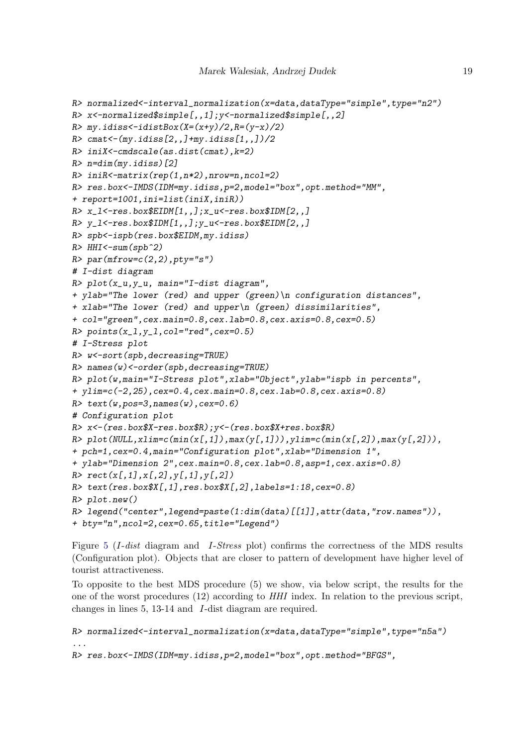```
R> normalized<-interval_normalization(x=data,dataType="simple",type="n2")
R> x<-normalized$simple[,,1];y<-normalized$simple[,,2]
R> my.idiss < -idistBox(X=(x+y)/2,R=(y-x)/2)
R> cmat < - (my.i diss [2,.] +my.idiss [1,.])/2
R> iniX<-cmdscale(as.dist(cmat),k=2)
R> n=dim(my.idiss)[2]
R> iniR<-matrix(rep(1,n*2),nrow=n,ncol=2)
R> res.box<-IMDS(IDM=my.idiss,p=2,model="box",opt.method="MM",
+ report=1001,ini=list(iniX,iniR))
R > x_l <-res.box$EIDM[1,,];x_u <-res.box$IDM[2,,]
R> y_1 < - res.box$IDM[1, 1; y_1 < -res.box$EIDM[2, 1]R> spb<-ispb(res.box$EIDM,my.idiss)
R> HHI < - sum (spb^2)
R> par(mfrow=c(2,2),pty="s")
# I-dist diagram
R> plot(x_u,y_u, main="I-dist diagram",
+ ylab="The lower (red) and upper (green)\n configuration distances",
+ xlab="The lower (red) and upper\n (green) dissimilarities",
+ col="green",cex.main=0.8,cex.lab=0.8,cex.axis=0.8,cex=0.5)
R> points(x_1,y_1,col="red",cex=0.5)
# I-Stress plot
R> w<-sort(spb,decreasing=TRUE)
R> names(w)<-order(spb,decreasing=TRUE)
R> plot(w,main="I-Stress plot",xlab="Object",ylab="ispb in percents",
+ ylim=c(-2,25),cex=0.4,cex.main=0.8,cex.lab=0.8,cex.axis=0.8)
R> text(w, pos=3, names(w), cex=0.6)
# Configuration plot
R> x<-(res.box$X-res.box$R);y<-(res.box$X+res.box$R)
R> plot(NULL, xlim=c(min(x[,1]),max(y[,1])),ylim=c(min(x[,2]),max(y[,2])),
+ pch=1,cex=0.4,main="Configuration plot",xlab="Dimension 1",
+ ylab="Dimension 2",cex.main=0.8,cex.lab=0.8,asp=1,cex.axis=0.8)
R > rect(x[, 1], x[, 2], y[, 1], y[, 2])R> text(res.box$X[,1],res.box$X[,2],labels=1:18,cex=0.8)
R> plot.new()
R> legend("center",legend=paste(1:dim(data)[[1]],attr(data,"row.names")),
+ bty="n",ncol=2,cex=0.65,title="Legend")
```
Figure [5](#page-19-0) (I-dist diagram and I-Stress plot) confirms the correctness of the MDS results (Configuration plot). Objects that are closer to pattern of development have higher level of tourist attractiveness.

To opposite to the best MDS procedure (5) we show, via below script, the results for the one of the worst procedures (12) according to HHI index. In relation to the previous script, changes in lines 5, 13-14 and I-dist diagram are required.

```
R> normalized<-interval_normalization(x=data,dataType="simple",type="n5a")
...
R> res.box<-IMDS(IDM=my.idiss,p=2,model="box",opt.method="BFGS",
```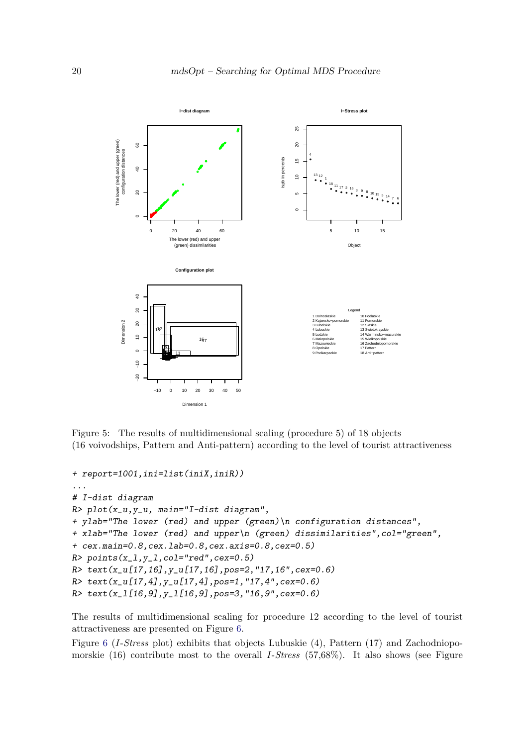

<span id="page-19-0"></span>Figure 5: The results of multidimensional scaling (procedure 5) of 18 objects (16 voivodships, Pattern and Anti-pattern) according to the level of tourist attractiveness

```
+ report=1001,ini=list(iniX,iniR))
...
# I-dist diagram
R> plot(x_u,y_u, main="I-dist diagram",
+ ylab="The lower (red) and upper (green)\n configuration distances",
+ xlab="The lower (red) and upper\n (green) dissimilarities",col="green",
+ cex.main=0.8,cex.lab=0.8,cex.axis=0.8,cex=0.5)
R > points(x_1, y_1, col='red", cex=0.5)R> text(x_u[17,16],y_u[17,16],pos=2,"17,16",cex=0.6)
R> text(x_u[17,4],y_u[17,4],pos=1,"17,4",cex=0.6)
R> text(x_l[16,9],y_l[16,9],pos=3,"16,9",cex=0.6)
```
The results of multidimensional scaling for procedure 12 according to the level of tourist attractiveness are presented on Figure [6.](#page-20-0)

Figure [6](#page-20-0) (*I-Stress* plot) exhibits that objects Lubuskie (4), Pattern (17) and Zachodniopomorskie (16) contribute most to the overall  $I\text{-}Stress$  (57,68%). It also shows (see Figure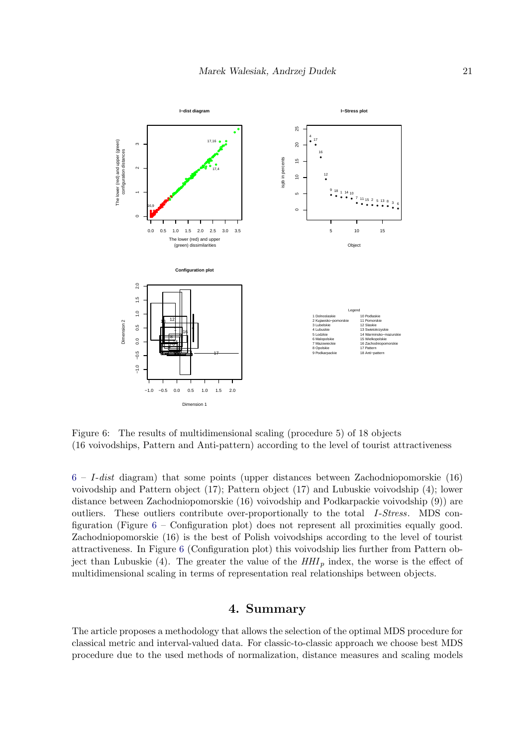

<span id="page-20-0"></span>Figure 6: The results of multidimensional scaling (procedure 5) of 18 objects (16 voivodships, Pattern and Anti-pattern) according to the level of tourist attractiveness

 $6 - I$  $6 - I$ -dist diagram) that some points (upper distances between Zachodniopomorskie (16) voivodship and Pattern object (17); Pattern object (17) and Lubuskie voivodship (4); lower distance between Zachodniopomorskie (16) voivodship and Podkarpackie voivodship (9)) are outliers. These outliers contribute over-proportionally to the total *I-Stress*. MDS configuration (Figure [6](#page-20-0) – Configuration plot) does not represent all proximities equally good. Zachodniopomorskie (16) is the best of Polish voivodships according to the level of tourist attractiveness. In Figure [6](#page-20-0) (Configuration plot) this voivodship lies further from Pattern object than Lubuskie (4). The greater the value of the  $HHI_p$  index, the worse is the effect of multidimensional scaling in terms of representation real relationships between objects.

## 4. Summary

The article proposes a methodology that allows the selection of the optimal MDS procedure for classical metric and interval-valued data. For classic-to-classic approach we choose best MDS procedure due to the used methods of normalization, distance measures and scaling models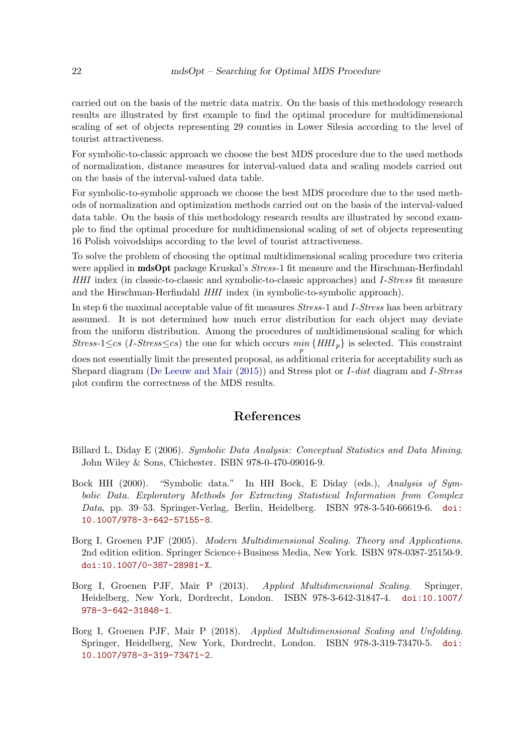carried out on the basis of the metric data matrix. On the basis of this methodology research results are illustrated by first example to find the optimal procedure for multidimensional scaling of set of objects representing 29 counties in Lower Silesia according to the level of tourist attractiveness.

For symbolic-to-classic approach we choose the best MDS procedure due to the used methods of normalization, distance measures for interval-valued data and scaling models carried out on the basis of the interval-valued data table.

For symbolic-to-symbolic approach we choose the best MDS procedure due to the used methods of normalization and optimization methods carried out on the basis of the interval-valued data table. On the basis of this methodology research results are illustrated by second example to find the optimal procedure for multidimensional scaling of set of objects representing 16 Polish voivodships according to the level of tourist attractiveness.

To solve the problem of choosing the optimal multidimensional scaling procedure two criteria were applied in mdsOpt package Kruskal's Stress-1 fit measure and the Hirschman-Herfindahl HHI index (in classic-to-classic and symbolic-to-classic approaches) and I-Stress fit measure and the Hirschman-Herfindahl HHI index (in symbolic-to-symbolic approach).

In step 6 the maximal acceptable value of fit measures *Stress*-1 and *I-Stress* has been arbitrary assumed. It is not determined how much error distribution for each object may deviate from the uniform distribution. Among the procedures of multidimensional scaling for which Stress-1≤cs (I-Stress ≤cs) the one for which occurs  $\min_{p} \{HHI_p\}$  is selected. This constraint does not essentially limit the presented proposal, as additional criteria for acceptability such as Shepard diagram [\(De Leeuw and Mair](#page-22-6) [\(2015\)](#page-22-6)) and Stress plot or I-dist diagram and I-Stress plot confirm the correctness of the MDS results.

## References

- <span id="page-21-4"></span>Billard L, Diday E (2006). Symbolic Data Analysis: Conceptual Statistics and Data Mining. John Wiley & Sons, Chichester. ISBN 978-0-470-09016-9.
- <span id="page-21-1"></span>Bock HH (2000). "Symbolic data." In HH Bock, E Diday (eds.), Analysis of Symbolic Data. Exploratory Methods for Extracting Statistical Information from Complex Data, pp. 39–53. Springer-Verlag, Berlin, Heidelberg. ISBN 978-3-540-66619-6. [doi:](http://dx.doi.org/10.1007/978-3-642-57155-8) [10.1007/978-3-642-57155-8](http://dx.doi.org/10.1007/978-3-642-57155-8).
- <span id="page-21-0"></span>Borg I, Groenen PJF (2005). Modern Multidimensional Scaling. Theory and Applications. 2nd edition edition. Springer Science+Business Media, New York. ISBN 978-0387-25150-9. [doi:10.1007/0-387-28981-X](http://dx.doi.org/10.1007/0-387-28981-X).
- <span id="page-21-2"></span>Borg I, Groenen PJF, Mair P (2013). Applied Multidimensional Scaling. Springer, Heidelberg, New York, Dordrecht, London. ISBN 978-3-642-31847-4. [doi:10.1007/](http://dx.doi.org/10.1007/978-3-642-31848-1) [978-3-642-31848-1](http://dx.doi.org/10.1007/978-3-642-31848-1).
- <span id="page-21-3"></span>Borg I, Groenen PJF, Mair P (2018). Applied Multidimensional Scaling and Unfolding. Springer, Heidelberg, New York, Dordrecht, London. ISBN 978-3-319-73470-5. [doi:](http://dx.doi.org/10.1007/978-3-319-73471-2) [10.1007/978-3-319-73471-2](http://dx.doi.org/10.1007/978-3-319-73471-2).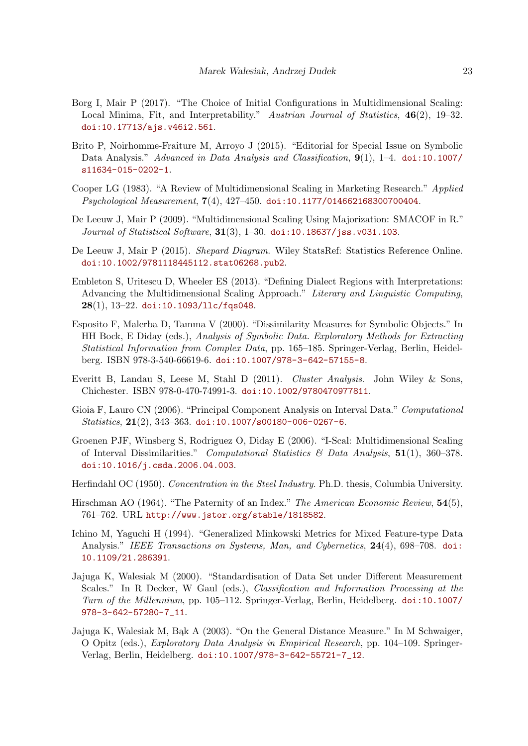- <span id="page-22-5"></span>Borg I, Mair P (2017). "The Choice of Initial Configurations in Multidimensional Scaling: Local Minima, Fit, and Interpretability." Austrian Journal of Statistics, 46(2), 19–32. [doi:10.17713/ajs.v46i2.561](http://dx.doi.org/10.17713/ajs.v46i2.561).
- <span id="page-22-4"></span>Brito P, Noirhomme-Fraiture M, Arroyo J (2015). "Editorial for Special Issue on Symbolic Data Analysis." Advanced in Data Analysis and Classification,  $9(1)$ , 1–4. [doi:10.1007/](http://dx.doi.org/10.1007/s11634-015-0202-1) [s11634-015-0202-1](http://dx.doi.org/10.1007/s11634-015-0202-1).
- <span id="page-22-2"></span>Cooper LG (1983). "A Review of Multidimensional Scaling in Marketing Research." Applied Psychological Measurement, 7(4), 427–450. [doi:10.1177/014662168300700404](http://dx.doi.org/10.1177/014662168300700404).
- <span id="page-22-7"></span>De Leeuw J, Mair P (2009). "Multidimensional Scaling Using Majorization: SMACOF in R." Journal of Statistical Software,  $31(3)$ ,  $1-30$ . [doi:10.18637/jss.v031.i03](http://dx.doi.org/10.18637/jss.v031.i03).
- <span id="page-22-6"></span>De Leeuw J, Mair P (2015). Shepard Diagram. Wiley StatsRef: Statistics Reference Online. [doi:10.1002/9781118445112.stat06268.pub2](http://dx.doi.org/10.1002/9781118445112.stat06268.pub2).
- <span id="page-22-1"></span>Embleton S, Uritescu D, Wheeler ES (2013). "Defining Dialect Regions with Interpretations: Advancing the Multidimensional Scaling Approach." Literary and Linguistic Computing,  $28(1), 13-22.$  [doi:10.1093/llc/fqs048](http://dx.doi.org/10.1093/llc/fqs048).
- <span id="page-22-11"></span>Esposito F, Malerba D, Tamma V (2000). "Dissimilarity Measures for Symbolic Objects." In HH Bock, E Diday (eds.), Analysis of Symbolic Data. Exploratory Methods for Extracting Statistical Information from Complex Data, pp. 165–185. Springer-Verlag, Berlin, Heidelberg. ISBN 978-3-540-66619-6. [doi:10.1007/978-3-642-57155-8](http://dx.doi.org/10.1007/978-3-642-57155-8).
- <span id="page-22-8"></span>Everitt B, Landau S, Leese M, Stahl D (2011). Cluster Analysis. John Wiley & Sons, Chichester. ISBN 978-0-470-74991-3. [doi:10.1002/9780470977811](http://dx.doi.org/10.1002/9780470977811).
- <span id="page-22-3"></span>Gioia F, Lauro CN (2006). "Principal Component Analysis on Interval Data." Computational  $Statistics, 21(2), 343-363.$  [doi:10.1007/s00180-006-0267-6](http://dx.doi.org/10.1007/s00180-006-0267-6).
- <span id="page-22-0"></span>Groenen PJF, Winsberg S, Rodriguez O, Diday E (2006). "I-Scal: Multidimensional Scaling of Interval Dissimilarities." Computational Statistics  $\mathcal{B}$  Data Analysis, 51(1), 360–378. [doi:10.1016/j.csda.2006.04.003](http://dx.doi.org/10.1016/j.csda.2006.04.003).
- <span id="page-22-13"></span>Herfindahl OC (1950). Concentration in the Steel Industry. Ph.D. thesis, Columbia University.
- <span id="page-22-14"></span>Hirschman AO (1964). "The Paternity of an Index." The American Economic Review, 54(5), 761–762. URL <http://www.jstor.org/stable/1818582>.
- <span id="page-22-12"></span>Ichino M, Yaguchi H (1994). "Generalized Minkowski Metrics for Mixed Feature-type Data Analysis." IEEE Transactions on Systems, Man, and Cybernetics, 24(4), 698–708. [doi:](http://dx.doi.org/10.1109/21.286391) [10.1109/21.286391](http://dx.doi.org/10.1109/21.286391).
- <span id="page-22-10"></span>Jajuga K, Walesiak M (2000). "Standardisation of Data Set under Different Measurement Scales." In R Decker, W Gaul (eds.), Classification and Information Processing at the Turn of the Millennium, pp. 105–112. Springer-Verlag, Berlin, Heidelberg. [doi:10.1007/](http://dx.doi.org/10.1007/978-3-642-57280-7_11) [978-3-642-57280-7\\_11](http://dx.doi.org/10.1007/978-3-642-57280-7_11).
- <span id="page-22-9"></span>Jajuga K, Walesiak M, Bak A (2003). "On the General Distance Measure." In M Schwaiger, O Opitz (eds.), Exploratory Data Analysis in Empirical Research, pp. 104–109. Springer-Verlag, Berlin, Heidelberg. [doi:10.1007/978-3-642-55721-7\\_12](http://dx.doi.org/10.1007/978-3-642-55721-7_12).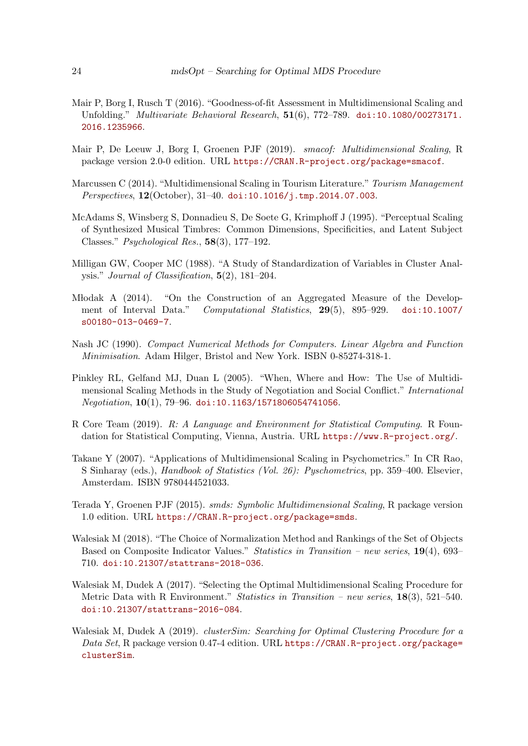- <span id="page-23-4"></span>Mair P, Borg I, Rusch T (2016). "Goodness-of-fit Assessment in Multidimensional Scaling and Unfolding." Multivariate Behavioral Research, 51(6), 772–789. [doi:10.1080/00273171.](http://dx.doi.org/10.1080/00273171.2016.1235966) [2016.1235966](http://dx.doi.org/10.1080/00273171.2016.1235966).
- <span id="page-23-5"></span>Mair P, De Leeuw J, Borg I, Groenen PJF (2019). smacof: Multidimensional Scaling, R package version 2.0-0 edition. URL <https://CRAN.R-project.org/package=smacof>.
- <span id="page-23-2"></span>Marcussen C (2014). "Multidimensional Scaling in Tourism Literature." Tourism Management *Perspectives*,  $12$ (October),  $31-40$ . [doi:10.1016/j.tmp.2014.07.003](http://dx.doi.org/10.1016/j.tmp.2014.07.003).
- <span id="page-23-3"></span>McAdams S, Winsberg S, Donnadieu S, De Soete G, Krimphoff J (1995). "Perceptual Scaling of Synthesized Musical Timbres: Common Dimensions, Specificities, and Latent Subject Classes." Psychological Res., 58(3), 177–192.
- <span id="page-23-9"></span>Milligan GW, Cooper MC (1988). "A Study of Standardization of Variables in Cluster Analysis." Journal of Classification, 5(2), 181–204.
- <span id="page-23-12"></span>M lodak A (2014). "On the Construction of an Aggregated Measure of the Development of Interval Data." Computational Statistics, 29(5), 895–929. [doi:10.1007/](http://dx.doi.org/10.1007/s00180-013-0469-7) [s00180-013-0469-7](http://dx.doi.org/10.1007/s00180-013-0469-7).
- <span id="page-23-8"></span>Nash JC (1990). Compact Numerical Methods for Computers. Linear Algebra and Function Minimisation. Adam Hilger, Bristol and New York. ISBN 0-85274-318-1.
- <span id="page-23-1"></span>Pinkley RL, Gelfand MJ, Duan L (2005). "When, Where and How: The Use of Multidimensional Scaling Methods in the Study of Negotiation and Social Conflict." International Negotiation, 10(1), 79–96. [doi:10.1163/1571806054741056](http://dx.doi.org/10.1163/1571806054741056).
- <span id="page-23-7"></span>R Core Team (2019). R: A Language and Environment for Statistical Computing. R Foundation for Statistical Computing, Vienna, Austria. URL <https://www.R-project.org/>.
- <span id="page-23-0"></span>Takane Y (2007). "Applications of Multidimensional Scaling in Psychometrics." In CR Rao, S Sinharay (eds.), Handbook of Statistics (Vol. 26): Pyschometrics, pp. 359–400. Elsevier, Amsterdam. ISBN 9780444521033.
- <span id="page-23-6"></span>Terada Y, Groenen PJF (2015). smds: Symbolic Multidimensional Scaling, R package version 1.0 edition. URL <https://CRAN.R-project.org/package=smds>.
- <span id="page-23-10"></span>Walesiak M (2018). "The Choice of Normalization Method and Rankings of the Set of Objects Based on Composite Indicator Values." Statistics in Transition – new series, 19(4), 693– 710. [doi:10.21307/stattrans-2018-036](http://dx.doi.org/10.21307/stattrans-2018-036).
- <span id="page-23-13"></span>Walesiak M, Dudek A (2017). "Selecting the Optimal Multidimensional Scaling Procedure for Metric Data with R Environment." Statistics in Transition – new series, 18(3), 521-540. [doi:10.21307/stattrans-2016-084](http://dx.doi.org/10.21307/stattrans-2016-084).
- <span id="page-23-11"></span>Walesiak M, Dudek A (2019). *clusterSim: Searching for Optimal Clustering Procedure for a* Data Set, R package version 0.47-4 edition. URL [https://CRAN.R-project.org/package=](https://CRAN.R-project.org/package=clusterSim) [clusterSim](https://CRAN.R-project.org/package=clusterSim).